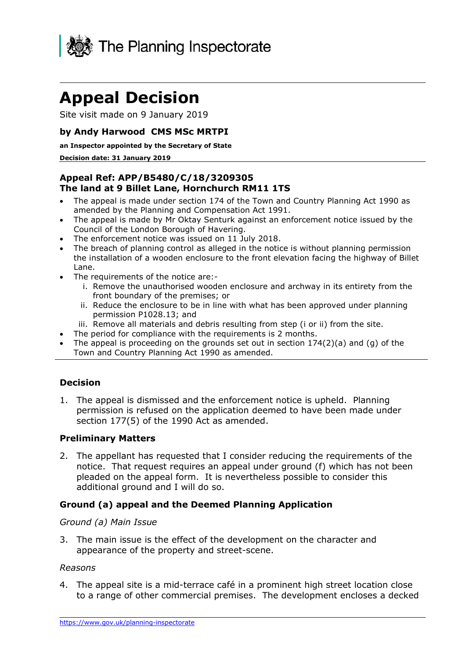

# **Appeal Decision**

Site visit made on 9 January 2019

## **by Andy Harwood CMS MSc MRTPI**

#### **an Inspector appointed by the Secretary of State**

#### **Decision date: 31 January 2019**

## **The land at 9 Billet Lane, Hornchurch RM11 1TS Appeal Ref: APP/B5480/C/18/3209305**

- The appeal is made under section 174 of the Town and Country Planning Act 1990 as amended by the Planning and Compensation Act 1991.
- The appeal is made by Mr Oktay Senturk against an enforcement notice issued by the Council of the London Borough of Havering.
- The enforcement notice was issued on 11 July 2018.
- The breach of planning control as alleged in the notice is without planning permission the installation of a wooden enclosure to the front elevation facing the highway of Billet Lane.
- The requirements of the notice are:
	- i. Remove the unauthorised wooden enclosure and archway in its entirety from the front boundary of the premises; or
	- ii. Reduce the enclosure to be in line with what has been approved under planning permission P1028.13; and
	- iii. Remove all materials and debris resulting from step (i or ii) from the site.
- The period for compliance with the requirements is 2 months.
- The appeal is proceeding on the grounds set out in section 174(2)(a) and (g) of the Town and Country Planning Act 1990 as amended.

## **Decision**

 1. The appeal is dismissed and the enforcement notice is upheld. Planning section 177(5) of the 1990 Act as amended. permission is refused on the application deemed to have been made under

## **Preliminary Matters**

 pleaded on the appeal form. It is nevertheless possible to consider this additional ground and I will do so. 2. The appellant has requested that I consider reducing the requirements of the notice. That request requires an appeal under ground (f) which has not been

## **Ground (a) appeal and the Deemed Planning Application**

## *Ground (a) Main Issue*

 3. The main issue is the effect of the development on the character and appearance of the property and street-scene.

## *Reasons*

 4. The appeal site is a mid-terrace café in a prominent high street location close to a range of other commercial premises. The development encloses a decked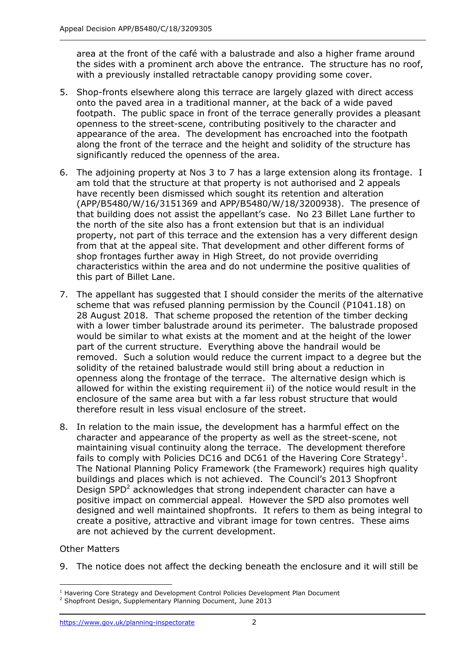area at the front of the café with a balustrade and also a higher frame around the sides with a prominent arch above the entrance. The structure has no roof, with a previously installed retractable canopy providing some cover.

- onto the paved area in a traditional manner, at the back of a wide paved footpath. The public space in front of the terrace generally provides a pleasant openness to the street-scene, contributing positively to the character and appearance of the area. The development has encroached into the footpath along the front of the terrace and the height and solidity of the structure has 5. Shop-fronts elsewhere along this terrace are largely glazed with direct access significantly reduced the openness of the area.
- 6. The adjoining property at Nos 3 to 7 has a large extension along its frontage. I am told that the structure at that property is not authorised and 2 appeals (APP/B5480/W/16/3151369 and APP/B5480/W/18/3200938). The presence of that building does not assist the appellant's case. No 23 Billet Lane further to the north of the site also has a front extension but that is an individual property, not part of this terrace and the extension has a very different design characteristics within the area and do not undermine the positive qualities of have recently been dismissed which sought its retention and alteration from that at the appeal site. That development and other different forms of shop frontages further away in High Street, do not provide overriding this part of Billet Lane.
- 28 August 2018. That scheme proposed the retention of the timber decking with a lower timber balustrade around its perimeter. The balustrade proposed would be similar to what exists at the moment and at the height of the lower part of the current structure. Everything above the handrail would be removed. Such a solution would reduce the current impact to a degree but the solidity of the retained balustrade would still bring about a reduction in openness along the frontage of the terrace. The alternative design which is allowed for within the existing requirement ii) of the notice would result in the enclosure of the same area but with a far less robust structure that would therefore result in less visual enclosure of the street. 7. The appellant has suggested that I should consider the merits of the alternative scheme that was refused planning permission by the Council (P1041.18) on
- 8. In relation to the main issue, the development has a harmful effect on the character and appearance of the property as well as the street-scene, not maintaining visual continuity along the terrace. The development therefore fails to comply with Policies DC16 and DC61 of the Havering Core Strategy<sup>1</sup>. The National Planning Policy Framework (the Framework) requires high quality buildings and places which is not achieved. The Council's 2013 Shopfront Design SPD<sup>2</sup> acknowledges that strong independent character can have a positive impact on commercial appeal. However the SPD also promotes well designed and well maintained shopfronts. It refers to them as being integral to create a positive, attractive and vibrant image for town centres. These aims are not achieved by the current development.

## Other Matters

j

9. The notice does not affect the decking beneath the enclosure and it will still be

 $<sup>1</sup>$  Havering Core Strategy and Development Control Policies Development Plan Document</sup>

 $2$  Shopfront Design, Supplementary Planning Document, June 2013